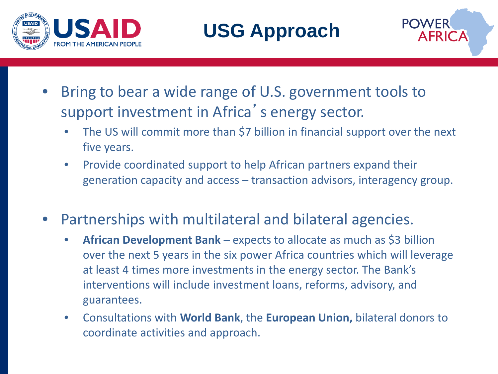



- Bring to bear a wide range of U.S. government tools to support investment in Africa's energy sector.
	- The US will commit more than \$7 billion in financial support over the next five years.
	- Provide coordinated support to help African partners expand their generation capacity and access – transaction advisors, interagency group.
- Partnerships with multilateral and bilateral agencies.
	- **African Development Bank**  expects to allocate as much as \$3 billion over the next 5 years in the six power Africa countries which will leverage at least 4 times more investments in the energy sector. The Bank's interventions will include investment loans, reforms, advisory, and guarantees.
	- Consultations with **World Bank**, the **European Union,** bilateral donors to coordinate activities and approach.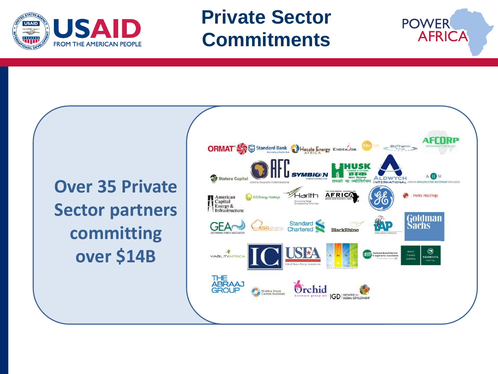

### **Private Sector Commitments**

**Over 35 Private Sector partners committing over \$14B**



**POWER** 

**AFRICA**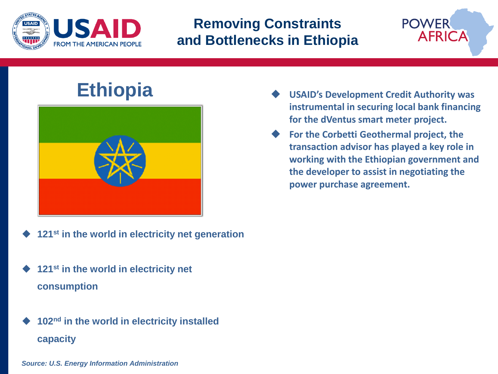

#### **Removing Constraints and Bottlenecks in Ethiopia**

# **Ethiopia**



- **121st in the world in electricity net generation**
- **121st in the world in electricity net consumption**
- **102nd in the world in electricity installed capacity**

 **USAID's Development Credit Authority was instrumental in securing local bank financing for the dVentus smart meter project.** 

**POWER** 

**AFRICA** 

 **For the Corbetti Geothermal project, the transaction advisor has played a key role in working with the Ethiopian government and the developer to assist in negotiating the power purchase agreement.**

*Source: U.S. Energy Information Administration*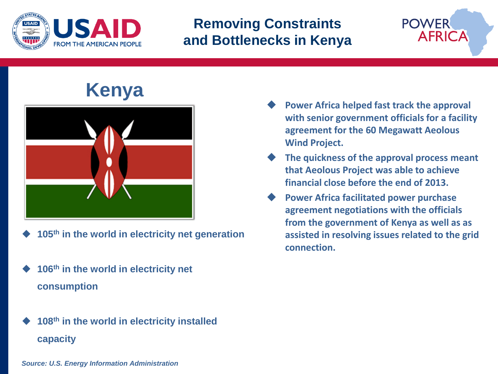

#### **Removing Constraints and Bottlenecks in Kenya**



## **Kenya**



- **105th in the world in electricity net generation**
- **106th in the world in electricity net consumption**
- **108th in the world in electricity installed capacity**
- **Power Africa helped fast track the approval with senior government officials for a facility agreement for the 60 Megawatt Aeolous Wind Project.**
- **The quickness of the approval process meant that Aeolous Project was able to achieve financial close before the end of 2013.**
- **Power Africa facilitated power purchase agreement negotiations with the officials from the government of Kenya as well as as assisted in resolving issues related to the grid connection.**

*Source: U.S. Energy Information Administration*